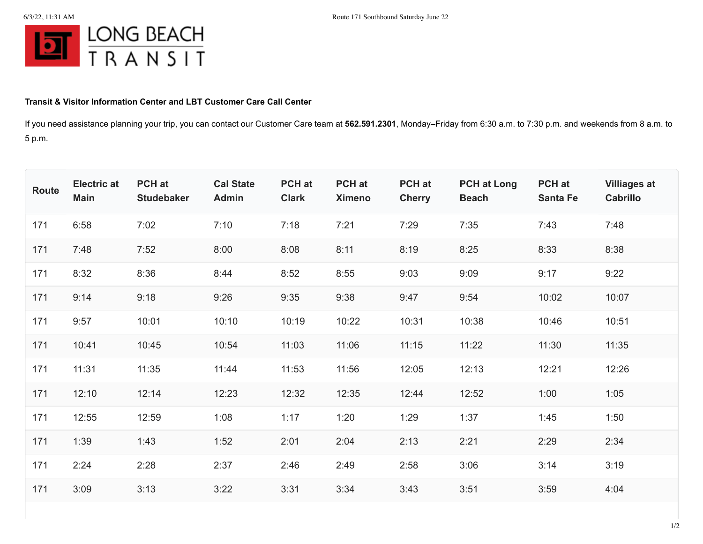

## **Transit & Visitor Information Center and LBT Customer Care Call Center**

If you need assistance planning your trip, you can contact our Customer Care team at **562.591.2301**, Monday–Friday from 6:30 a.m. to 7:30 p.m. and weekends from 8 a.m. to 5 p.m.

| Route | <b>Electric at</b><br><b>Main</b> | PCH at<br><b>Studebaker</b> | <b>Cal State</b><br>Admin | PCH at<br><b>Clark</b> | PCH at<br><b>Ximeno</b> | PCH at<br><b>Cherry</b> | <b>PCH at Long</b><br><b>Beach</b> | PCH at<br><b>Santa Fe</b> | <b>Villiages at</b><br><b>Cabrillo</b> |
|-------|-----------------------------------|-----------------------------|---------------------------|------------------------|-------------------------|-------------------------|------------------------------------|---------------------------|----------------------------------------|
| 171   | 6:58                              | 7:02                        | 7:10                      | 7:18                   | 7:21                    | 7:29                    | 7:35                               | 7:43                      | 7:48                                   |
| 171   | 7:48                              | 7:52                        | 8:00                      | 8:08                   | 8:11                    | 8:19                    | 8:25                               | 8:33                      | 8:38                                   |
| 171   | 8:32                              | 8:36                        | 8:44                      | 8:52                   | 8:55                    | 9:03                    | 9:09                               | 9:17                      | 9:22                                   |
| 171   | 9:14                              | 9:18                        | 9:26                      | 9:35                   | 9:38                    | 9:47                    | 9:54                               | 10:02                     | 10:07                                  |
| 171   | 9:57                              | 10:01                       | 10:10                     | 10:19                  | 10:22                   | 10:31                   | 10:38                              | 10:46                     | 10:51                                  |
| 171   | 10:41                             | 10:45                       | 10:54                     | 11:03                  | 11:06                   | 11:15                   | 11:22                              | 11:30                     | 11:35                                  |
| 171   | 11:31                             | 11:35                       | 11:44                     | 11:53                  | 11:56                   | 12:05                   | 12:13                              | 12:21                     | 12:26                                  |
| 171   | 12:10                             | 12:14                       | 12:23                     | 12:32                  | 12:35                   | 12:44                   | 12:52                              | 1:00                      | 1:05                                   |
| 171   | 12:55                             | 12:59                       | 1:08                      | 1:17                   | 1:20                    | 1:29                    | 1:37                               | 1:45                      | 1:50                                   |
| 171   | 1:39                              | 1:43                        | 1:52                      | 2:01                   | 2:04                    | 2:13                    | 2:21                               | 2:29                      | 2:34                                   |
| 171   | 2:24                              | 2:28                        | 2:37                      | 2:46                   | 2:49                    | 2:58                    | 3:06                               | 3:14                      | 3:19                                   |
| 171   | 3:09                              | 3:13                        | 3:22                      | 3:31                   | 3:34                    | 3:43                    | 3:51                               | 3:59                      | 4:04                                   |